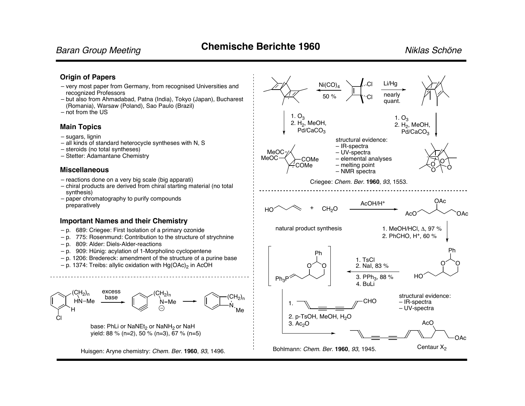### **Origin of Papers**

- recognized Professors
- but also from Ahmadabad, Patna (India), Tokyo (Japan), Bucharest (Romania), Warsaw (Poland), Sao Paulo (Brazil)
- not from the US

### **Main Topics**

- sugars, lignin
- all kinds of standard heterocycle syntheses with N, S
- steroids (no total syntheses)
- Stetter: Adamantane Chemistry

### **Miscellaneous**

- reactions done on a very big scale (big apparati)
- chiral products are derived from chiral starting material (no total synthesis)
- paper chromatography to purify compounds preparatively

### **Important Names and their Chemistry**

- p. 689: Criegee: First Isolation of a primary ozonide
- p. 775: Rosenmund: Contribution to the structure of strychnine
- p. 809: Alder: Diels-Alder-reactions
- p. 909: Hünig: acylation of 1-Morpholino cyclopentene
- p. 1206: Bredereck: amendment of the structure of a purine base
- $-$  p. 1374: Treibs: allylic oxidation with  $Hg(OAc)_2$  in AcOH



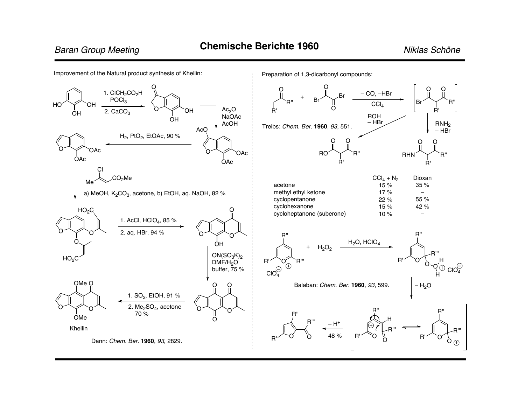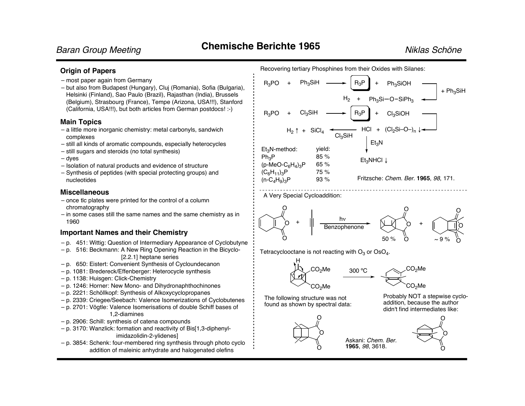$+ Ph<sub>3</sub>SiH$ 

### **Origin of Papers**

- most paper again from Germany
- but also from Budapest (Hungary), Cluj (Romania), Sofia (Bulgaria), Helsinki (Finland), Sao Paulo (Brazil), Rajasthan (India), Brussels (Belgium), Strasbourg (France), Tempe (Arizona, USA!!!), Stanford (California, USA!!!), but both articles from German postdocs! :-)

### **Main Topics**

- a little more inorganic chemistry: metal carbonyls, sandwich complexes
- still all kinds of aromatic compounds, especially heterocycles
- still sugars and steroids (no total synthesis)
- dyes
- Isolation of natural products and evidence of structure
- Synthesis of peptides (with special protecting groups) and nucleotides

### **Miscellaneous**

- once tlc plates were printed for the control of a column chromatography
- in some cases still the same names and the same chemistry as in 1960

### **Important Names and their Chemistry**

- p. 451: Wittig: Question of Intermediary Appearance of Cyclobutyne
- p. 516: Beckmann: A New Ring Opening Reaction in the Bicyclo- [2.2.1] heptane series
- p. 650: Eistert: Convenient Synthesis of Cycloundecanon
- p. 1081: Bredereck/Effenberger: Heterocycle synthesis
- p. 1138: Huisgen: Click-Chemistry
- p. 1246: Horner: New Mono- and Dihydronaphthochinones
- p. 2221: Schöllkopf: Synthesis of Alkoxycyclopropanes
- p. 2339: Criegee/Seebach: Valence Isomerizations of Cyclobutenes
- p. 2701: Vögtle: Valence Isomerisations of double Schiff bases of 1,2-diamines
- p. 2906: Schill: synthesis of catena compounds
- p. 3170: Wanzlick: formation and reactivity of Bis[1,3-diphenylimidazolidin-2-ylidenes]
- p. 3854: Schenk: four-membered ring synthesis through photo cyclo addition of maleinic anhydrate and halogenated olefins

 $R_3PO + Ph_3SiH \longrightarrow R_3P$  + Ph<sub>3</sub>SiOH  $Ph_3Si-O-SiPh_3$  $H_2$  +



A Very Special Cycloaddition:



300 ºC

Askani: *Chem. Ber.* **1965**, *98*, 3618.

Tetracyclooctane is not reacting with  $O_3$  or  $OsO<sub>4</sub>$ .





The following structure was not found as shown by spectral data:

> O  $\Omega$



addition, because the author didn't find intermediates like:





Recovering tertiary Phosphines from their Oxides with Silanes: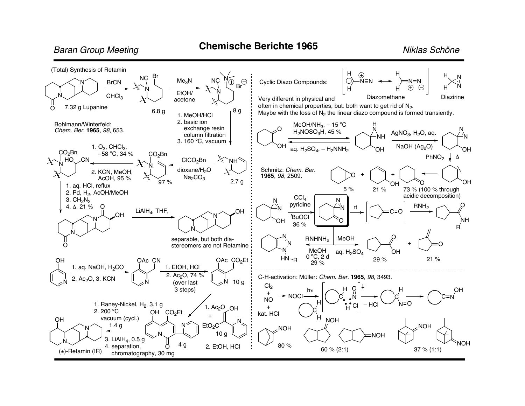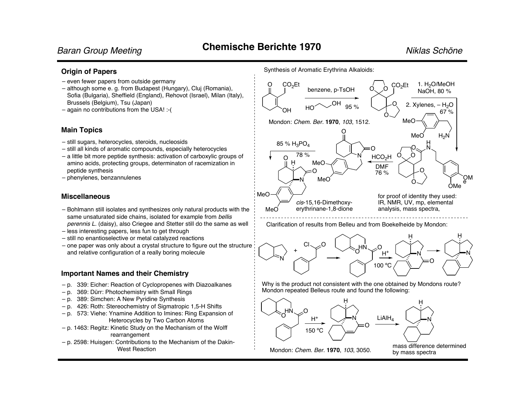### **Origin of Papers**

- even fewer papers from outside germany
- although some e. g. from Budapest (Hungary), Cluj (Romania), Sofia (Bulgaria), Sheffield (England), Rehovot (Israel), Milan (Italy), Brussels (Belgium), Tsu (Japan)
- again no contributions from the USA! :-(

### **Main Topics**

- still sugars, heterocycles, steroids, nucleosids
- still all kinds of aromatic compounds, especially heterocycles
- a little bit more peptide synthesis: activation of carboxylic groups of amino acids, protecting groups, determinaton of racemization in peptide synthesis
- phenylenes, benzannulenes

### **Miscellaneous**

- Bohlmann still isolates and synthesizes only natural products with the same unsaturated side chains, isolated for example from *bellis perennis L.* (daisy), also Criegee and Stetter still do the same as well
- less interesting papers, less fun to get through
- still no enantioselective or metal catalyzed reactions
- one paper was only about a crystal structure to figure out the structure and relative configuration of a really boring molecule

### **Important Names and their Chemistry**

- p. 339: Eicher: Reaction of Cyclopropenes with Diazoalkanes
- p. 369: Dürr: Photochemistry with Small Rings
- p. 389: Simchen: A New Pyridine Synthesis
- p. 426: Roth: Stereochemistry of Sigmatropic 1,5-H Shifts
- p. 573: Viehe: Ynamine Addition to Imines: Ring Expansion of Heterocycles by Two Carbon Atoms
- p. 1463: Regitz: Kinetic Study on the Mechanism of the Wolff rearrangement
- p. 2598: Huisgen: Contributions to the Mechanism of the Dakin-West Reaction



Clarification of results from Belleu and from Boekelheide by Mondon:



Why is the product not consistent with the one obtained by Mondons route? Mondon repeated Belleus route and found the following:



by mass spectra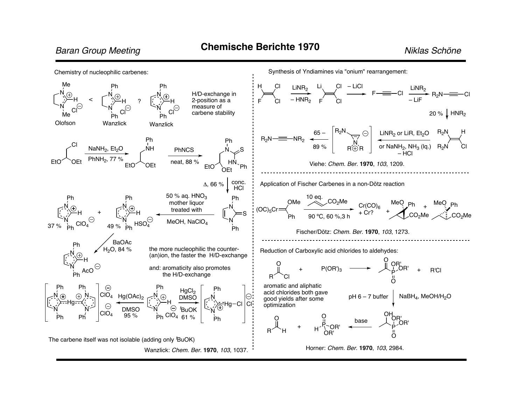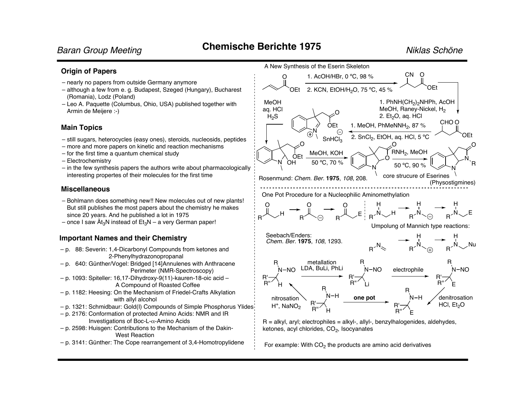### **Origin of Papers**

- nearly no papers from outside Germany anymore
- although a few from e. g. Budapest, Szeged (Hungary), Bucharest (Romania), Lodz (Poland)
- Leo A. Paquette (Columbus, Ohio, USA) published together with Armin de Meijere :-)

### **Main Topics**

- still sugars, heterocycles (easy ones), steroids, nucleosids, peptides
- more and more papers on kinetic and reaction mechanisms
- for the first time a quantum chemical study
- Electrochemistry
- in the few synthesis papers the authors write about pharmacologically interesting propertes of their molecules for the first time

### **Miscellaneous**

- Bohlmann does something new!! New molecules out of new plants! But still publishes the most papers about the chemistry he makes since 20 years. And he published a lot in 1975
- once I saw  $\text{Ai}_3\text{N}$  instead of  $\text{Et}_3\text{N}$  a very German paper!

## **Important Names and their Chemistry**

- p. 88: Severin: 1,4-Dicarbonyl Compounds from ketones and 2-Phenylhydrazonopropanal
- p. 640: Günther/Vogel: Bridged [14]Annulenes with Anthracene Perimeter (NMR-Spectroscopy)
- p. 1093: Spiteller: 16,17-Dihydroxy-9(11)-kauren-18-oic acid A Compound of Roasted Coffee
- p. 1182: Heesing: On the Mechanism of Friedel-Crafts Alkylation with allyl alcohol
- p. 1321: Schmidbaur: Gold(I) Compounds of Simple Phosphorus Ylides
- p. 2176: Conformation of protected Amino Acids: NMR and IR Investigations of Boc-L- $\alpha$ -Amino Acids
- p. 2598: Huisgen: Contributions to the Mechanism of the Dakin-West Reaction
- p. 3141: Günther: The Cope rearrangement of 3,4-Homotropylidene



For example: With  $CO<sub>2</sub>$  the products are amino acid derivatives

ketones, acyl chlorides,  $CO<sub>2</sub>$ , Isocyanates